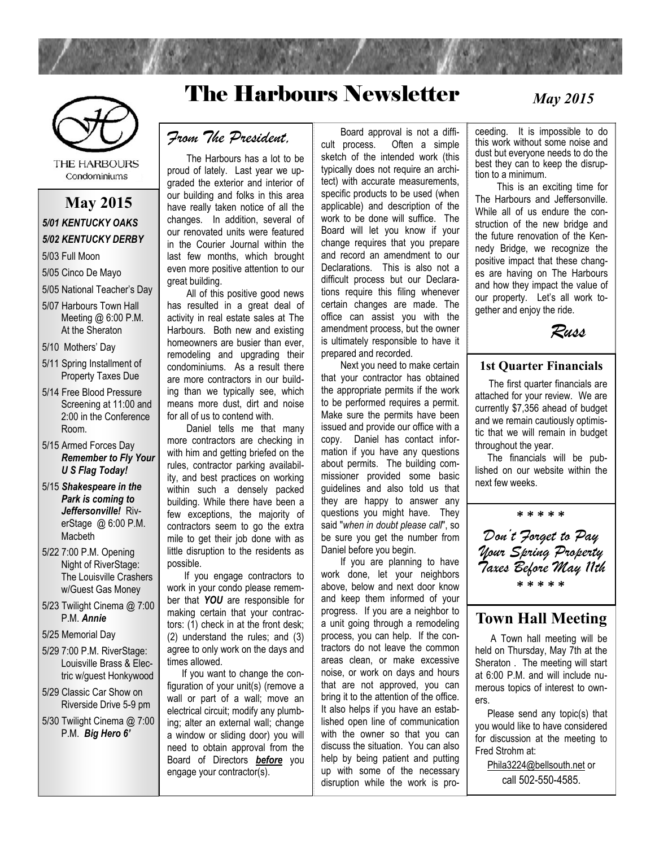



THE HARBOURS Condominiums

#### **May 2015** *5/01 KENTUCKY OAKS 5/02 KENTUCKY DERBY*

- 5/03 Full Moon
- 5/05 Cinco De Mayo
- 5/05 National Teacher's Day
- 5/07 Harbours Town Hall Meeting @ 6:00 P.M. At the Sheraton
- 5/10 Mothers' Day
- 5/11 Spring Installment of Property Taxes Due
- 5/14 Free Blood Pressure Screening at 11:00 and 2:00 in the Conference Room.
- 5/15 Armed Forces Day *Remember to Fly Your U S Flag Today!*
- 5/15 *Shakespeare in the Park is coming to Jeffersonville!* RiverStage @ 6:00 P.M. Macbeth
- 5/22 7:00 P.M. Opening Night of RiverStage: The Louisville Crashers w/Guest Gas Money
- 5/23 Twilight Cinema @ 7:00 P.M. *Annie*
- 5/25 Memorial Day
- 5/29 7:00 P.M. RiverStage: Louisville Brass & Electric w/guest Honkywood
- 5/29 Classic Car Show on Riverside Drive 5-9 pm
- 5/30 Twilight Cinema @ 7:00 P.M. *Big Hero 6'*

*From The President,*

The Harbours has a lot to be proud of lately. Last year we upgraded the exterior and interior of our building and folks in this area have really taken notice of all the changes. In addition, several of our renovated units were featured in the Courier Journal within the last few months, which brought even more positive attention to our great building.

All of this positive good news has resulted in a great deal of activity in real estate sales at The Harbours. Both new and existing homeowners are busier than ever, remodeling and upgrading their condominiums. As a result there are more contractors in our building than we typically see, which means more dust, dirt and noise for all of us to contend with.

Daniel tells me that many more contractors are checking in with him and getting briefed on the rules, contractor parking availability, and best practices on working within such a densely packed building. While there have been a few exceptions, the majority of contractors seem to go the extra mile to get their job done with as little disruption to the residents as possible.

 If you engage contractors to work in your condo please remember that *YOU* are responsible for making certain that your contractors: (1) check in at the front desk; (2) understand the rules; and (3) agree to only work on the days and times allowed.

 If you want to change the configuration of your unit(s) (remove a wall or part of a wall; move an electrical circuit; modify any plumbing; alter an external wall; change a window or sliding door) you will need to obtain approval from the Board of Directors *before* you engage your contractor(s).

Board approval is not a difficult process. Often a simple sketch of the intended work (this typically does not require an architect) with accurate measurements, specific products to be used (when applicable) and description of the work to be done will suffice. The Board will let you know if your change requires that you prepare and record an amendment to our Declarations. This is also not a difficult process but our Declarations require this filing whenever certain changes are made. The office can assist you with the amendment process, but the owner is ultimately responsible to have it prepared and recorded.

Next you need to make certain that your contractor has obtained the appropriate permits if the work to be performed requires a permit. Make sure the permits have been issued and provide our office with a copy. Daniel has contact information if you have any questions about permits. The building commissioner provided some basic guidelines and also told us that they are happy to answer any questions you might have. They said "*when in doubt please call*", so be sure you get the number from Daniel before you begin.

If you are planning to have work done, let your neighbors above, below and next door know and keep them informed of your progress. If you are a neighbor to a unit going through a remodeling process, you can help. If the contractors do not leave the common areas clean, or make excessive noise, or work on days and hours that are not approved, you can bring it to the attention of the office. It also helps if you have an established open line of communication with the owner so that you can discuss the situation. You can also help by being patient and putting up with some of the necessary disruption while the work is pro*May 2015*

ceeding. It is impossible to do this work without some noise and dust but everyone needs to do the best they can to keep the disruption to a minimum.

This is an exciting time for The Harbours and Jeffersonville. While all of us endure the construction of the new bridge and the future renovation of the Kennedy Bridge, we recognize the positive impact that these changes are having on The Harbours and how they impact the value of our property. Let's all work together and enjoy the ride.



#### **1st Quarter Financials**

 The first quarter financials are attached for your review. We are currently \$7,356 ahead of budget and we remain cautiously optimistic that we will remain in budget throughout the year.

 The financials will be published on our website within the next few weeks.

*\* \* \* \* \* Don't Forget to Pay Your Spring Property Taxes Before May 11th \* \* \* \* \**

#### **Town Hall Meeting**

 A Town hall meeting will be held on Thursday, May 7th at the Sheraton . The meeting will start at 6:00 P.M. and will include numerous topics of interest to owners.

 Please send any topic(s) that you would like to have considered for discussion at the meeting to Fred Strohm at:

[Phila3224@bellsouth.net](mailto:Phila3224@bellsouth.net) or call 502-550-4585.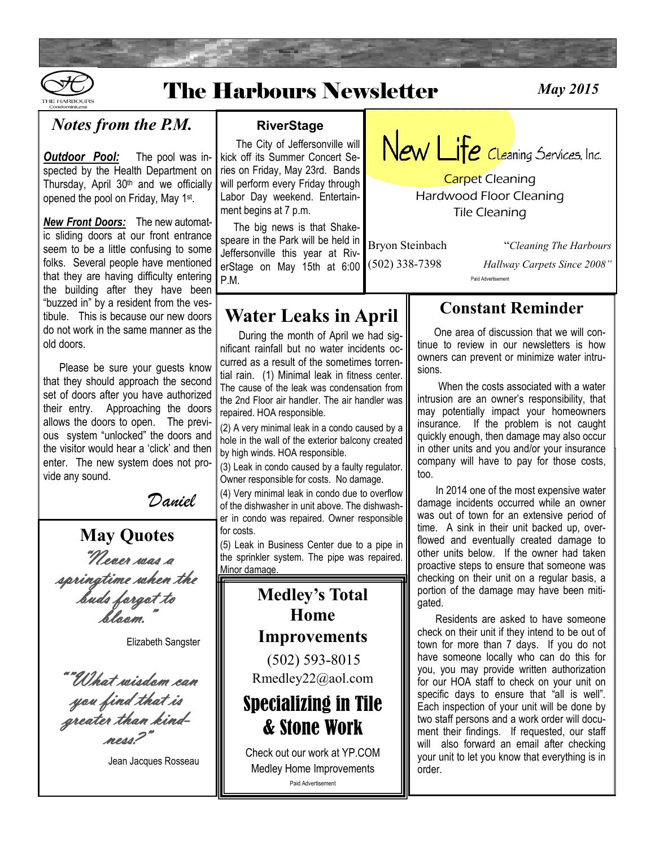

# The Harbours Newsletter *May 2015*

#### *Notes from the P.M.*

*Outdoor Pool:* The pool was inspected by the Health Department on Thursday, April 30th and we officially opened the pool on Friday, May 1st.

*New Front Doors:* The new automatic sliding doors at our front entrance seem to be a little confusing to some folks. Several people have mentioned that they are having difficulty entering the building after they have been "buzzed in" by a resident from the vestibule. This is because our new doors do not work in the same manner as the old doors.

 Please be sure your guests know that they should approach the second set of doors after you have authorized their entry. Approaching the doors allows the doors to open. The previous system "unlocked" the doors and the visitor would hear a 'click' and then enter. The new system does not provide any sound.

*Daniel*

## "Never was a springtime when the buds forgot to bloom." Elizabeth Sangster ""What wisdom can you find that is greater than kind-

**May Quotes**

ness?"

Jean Jacques Rosseau

#### **RiverStage**

 The City of Jeffersonville will kick off its Summer Concert Series on Friday, May 23rd. Bands will perform every Friday through Labor Day weekend. Entertainment begins at 7 p.m.

 The big news is that Shakespeare in the Park will be held in Jeffersonville this year at RiverStage on May 15th at 6:00 P.M.

### **Water Leaks in April**

 During the month of April we had significant rainfall but no water incidents occurred as a result of the sometimes torrential rain. (1) Minimal leak in fitness center. The cause of the leak was condensation from the 2nd Floor air handler. The air handler was repaired. HOA responsible.

(2) A very minimal leak in a condo caused by a hole in the wall of the exterior balcony created by high winds. HOA responsible.

(3) Leak in condo caused by a faulty regulator. Owner responsible for costs. No damage.

(4) Very minimal leak in condo due to overflow of the dishwasher in unit above. The dishwasher in condo was repaired. Owner responsible for costs.

(5) Leak in Business Center due to a pipe in the sprinkler system. The pipe was repaired. Minor damage.

## **Medley's Total Home Improvements** (502) 593-8015 Rmedley22@aol.com Specializing in Tile & Stone Work

Check out our work at YP.COM Medley Home Improvements Paid Advertisement



**Carpet Cleaning** Hardwood Floor Cleaning Tile Cleaning

Bryon Steinbach "*Cleaning The Harbours*

(502) 338-7398 *Hallway Carpets Since 2008"* Paid Advertisement

#### **Constant Reminder**

 One area of discussion that we will continue to review in our newsletters is how owners can prevent or minimize water intrusions.

 When the costs associated with a water intrusion are an owner's responsibility, that may potentially impact your homeowners insurance. If the problem is not caught quickly enough, then damage may also occur in other units and you and/or your insurance company will have to pay for those costs, too.

 In 2014 one of the most expensive water damage incidents occurred while an owner was out of town for an extensive period of time. A sink in their unit backed up, overflowed and eventually created damage to other units below. If the owner had taken proactive steps to ensure that someone was checking on their unit on a regular basis, a portion of the damage may have been mitigated.

 Residents are asked to have someone check on their unit if they intend to be out of town for more than 7 days. If you do not have someone locally who can do this for you, you may provide written authorization for our HOA staff to check on your unit on specific days to ensure that "all is well". Each inspection of your unit will be done by two staff persons and a work order will document their findings. If requested, our staff will also forward an email after checking your unit to let you know that everything is in order.